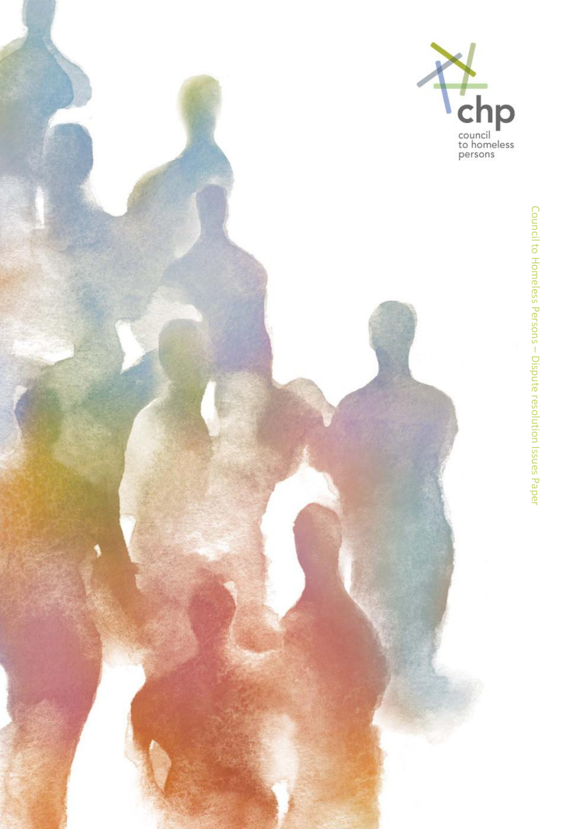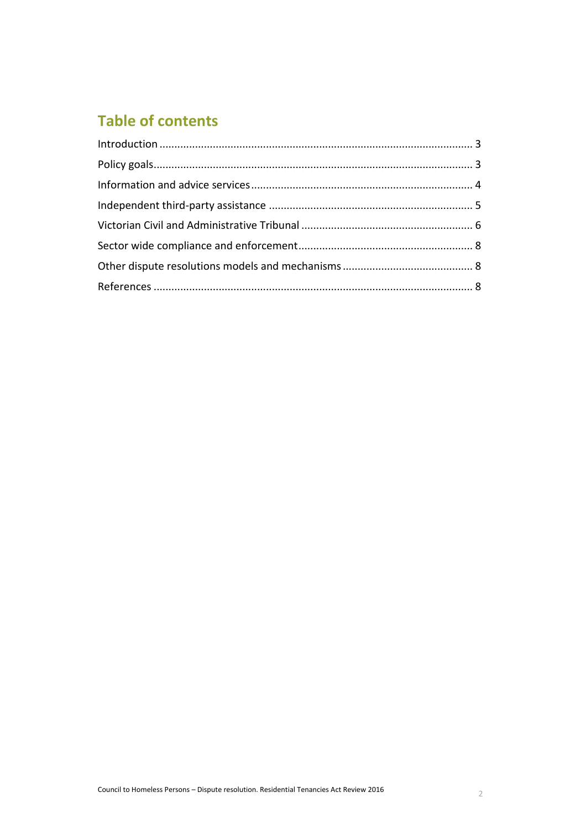# **Table of contents**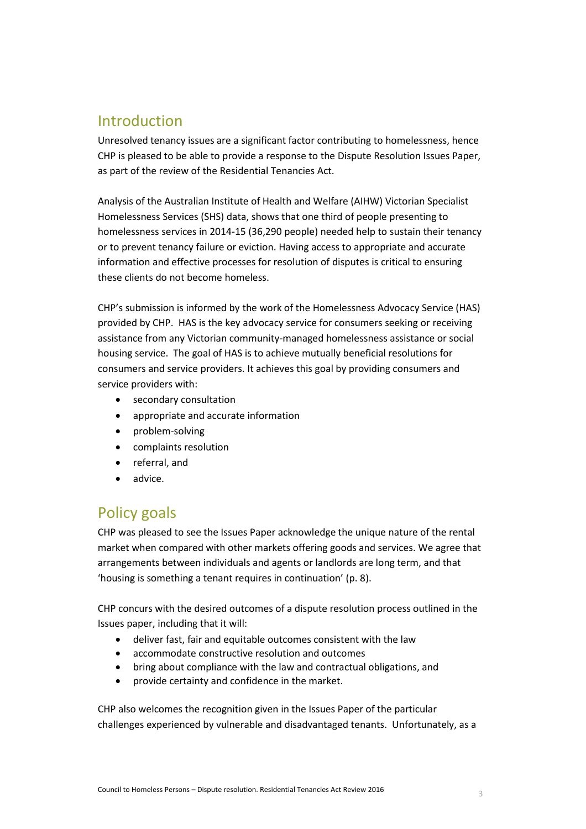# <span id="page-2-0"></span>Introduction

Unresolved tenancy issues are a significant factor contributing to homelessness, hence CHP is pleased to be able to provide a response to the Dispute Resolution Issues Paper, as part of the review of the Residential Tenancies Act.

Analysis of the Australian Institute of Health and Welfare (AIHW) Victorian Specialist Homelessness Services (SHS) data, shows that one third of people presenting to homelessness services in 2014-15 (36,290 people) needed help to sustain their tenancy or to prevent tenancy failure or eviction. Having access to appropriate and accurate information and effective processes for resolution of disputes is critical to ensuring these clients do not become homeless.

CHP's submission is informed by the work of the Homelessness Advocacy Service (HAS) provided by CHP. HAS is the key advocacy service for consumers seeking or receiving assistance from any Victorian community-managed homelessness assistance or social housing service. The goal of HAS is to achieve mutually beneficial resolutions for consumers and service providers. It achieves this goal by providing consumers and service providers with:

- secondary consultation
- appropriate and accurate information
- problem-solving
- complaints resolution
- referral, and
- advice.

# <span id="page-2-1"></span>Policy goals

CHP was pleased to see the Issues Paper acknowledge the unique nature of the rental market when compared with other markets offering goods and services. We agree that arrangements between individuals and agents or landlords are long term, and that 'housing is something a tenant requires in continuation' (p. 8).

CHP concurs with the desired outcomes of a dispute resolution process outlined in the Issues paper, including that it will:

- deliver fast, fair and equitable outcomes consistent with the law
- accommodate constructive resolution and outcomes
- bring about compliance with the law and contractual obligations, and
- provide certainty and confidence in the market.

CHP also welcomes the recognition given in the Issues Paper of the particular challenges experienced by vulnerable and disadvantaged tenants. Unfortunately, as a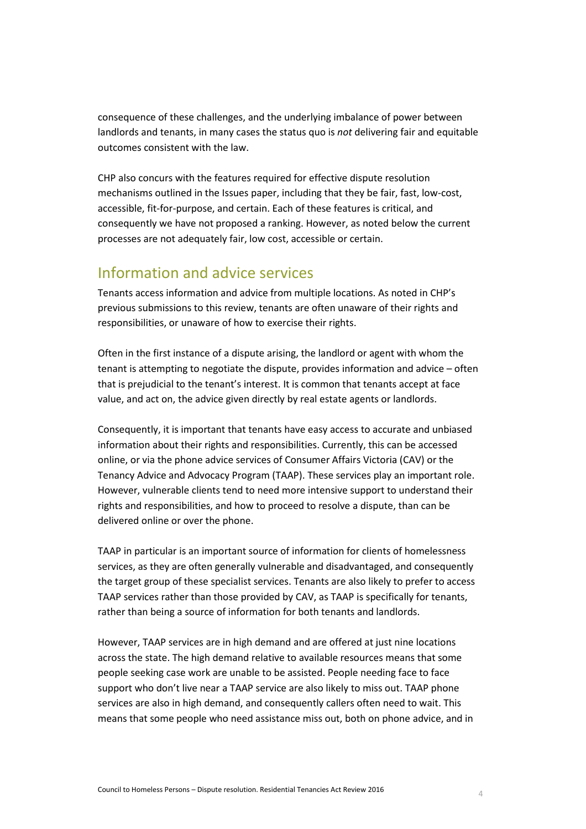consequence of these challenges, and the underlying imbalance of power between landlords and tenants, in many cases the status quo is *not* delivering fair and equitable outcomes consistent with the law.

CHP also concurs with the features required for effective dispute resolution mechanisms outlined in the Issues paper, including that they be fair, fast, low-cost, accessible, fit-for-purpose, and certain. Each of these features is critical, and consequently we have not proposed a ranking. However, as noted below the current processes are not adequately fair, low cost, accessible or certain.

#### <span id="page-3-0"></span>Information and advice services

Tenants access information and advice from multiple locations. As noted in CHP's previous submissions to this review, tenants are often unaware of their rights and responsibilities, or unaware of how to exercise their rights.

Often in the first instance of a dispute arising, the landlord or agent with whom the tenant is attempting to negotiate the dispute, provides information and advice – often that is prejudicial to the tenant's interest. It is common that tenants accept at face value, and act on, the advice given directly by real estate agents or landlords.

Consequently, it is important that tenants have easy access to accurate and unbiased information about their rights and responsibilities. Currently, this can be accessed online, or via the phone advice services of Consumer Affairs Victoria (CAV) or the Tenancy Advice and Advocacy Program (TAAP). These services play an important role. However, vulnerable clients tend to need more intensive support to understand their rights and responsibilities, and how to proceed to resolve a dispute, than can be delivered online or over the phone.

TAAP in particular is an important source of information for clients of homelessness services, as they are often generally vulnerable and disadvantaged, and consequently the target group of these specialist services. Tenants are also likely to prefer to access TAAP services rather than those provided by CAV, as TAAP is specifically for tenants, rather than being a source of information for both tenants and landlords.

However, TAAP services are in high demand and are offered at just nine locations across the state. The high demand relative to available resources means that some people seeking case work are unable to be assisted. People needing face to face support who don't live near a TAAP service are also likely to miss out. TAAP phone services are also in high demand, and consequently callers often need to wait. This means that some people who need assistance miss out, both on phone advice, and in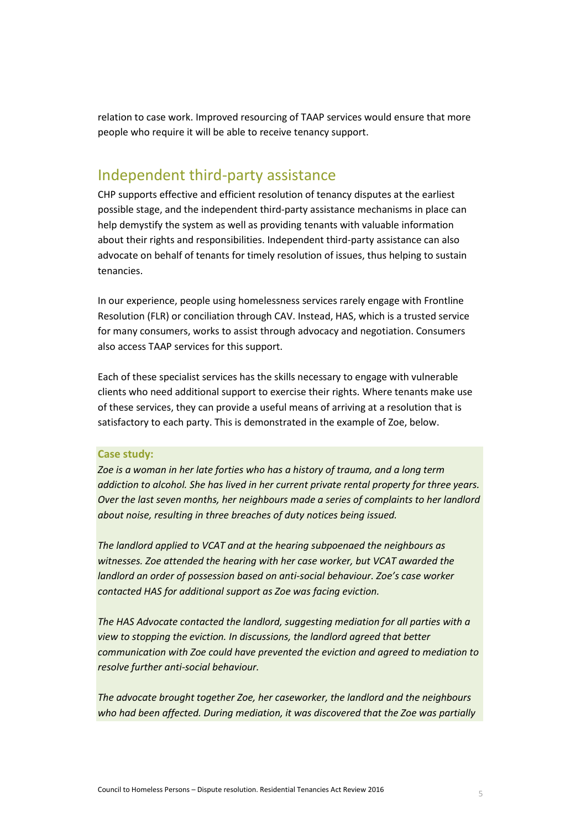relation to case work. Improved resourcing of TAAP services would ensure that more people who require it will be able to receive tenancy support.

# <span id="page-4-0"></span>Independent third-party assistance

CHP supports effective and efficient resolution of tenancy disputes at the earliest possible stage, and the independent third-party assistance mechanisms in place can help demystify the system as well as providing tenants with valuable information about their rights and responsibilities. Independent third-party assistance can also advocate on behalf of tenants for timely resolution of issues, thus helping to sustain tenancies.

In our experience, people using homelessness services rarely engage with Frontline Resolution (FLR) or conciliation through CAV. Instead, HAS, which is a trusted service for many consumers, works to assist through advocacy and negotiation. Consumers also access TAAP services for this support.

Each of these specialist services has the skills necessary to engage with vulnerable clients who need additional support to exercise their rights. Where tenants make use of these services, they can provide a useful means of arriving at a resolution that is satisfactory to each party. This is demonstrated in the example of Zoe, below.

#### **Case study:**

*Zoe is a woman in her late forties who has a history of trauma, and a long term addiction to alcohol. She has lived in her current private rental property for three years. Over the last seven months, her neighbours made a series of complaints to her landlord about noise, resulting in three breaches of duty notices being issued.* 

*The landlord applied to VCAT and at the hearing subpoenaed the neighbours as witnesses. Zoe attended the hearing with her case worker, but VCAT awarded the landlord an order of possession based on anti-social behaviour. Zoe's case worker contacted HAS for additional support as Zoe was facing eviction.* 

*The HAS Advocate contacted the landlord, suggesting mediation for all parties with a view to stopping the eviction. In discussions, the landlord agreed that better communication with Zoe could have prevented the eviction and agreed to mediation to resolve further anti-social behaviour.*

*The advocate brought together Zoe, her caseworker, the landlord and the neighbours who had been affected. During mediation, it was discovered that the Zoe was partially*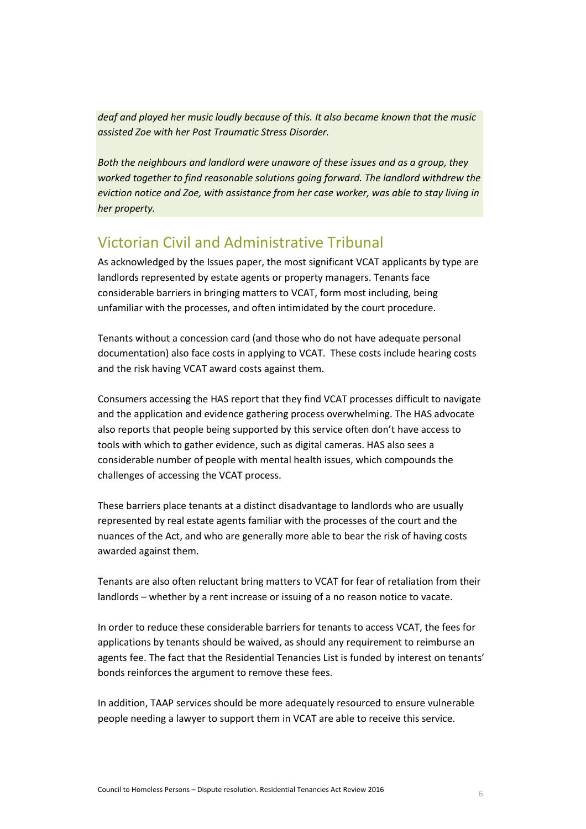*deaf and played her music loudly because of this. It also became known that the music assisted Zoe with her Post Traumatic Stress Disorder.* 

*Both the neighbours and landlord were unaware of these issues and as a group, they worked together to find reasonable solutions going forward. The landlord withdrew the eviction notice and Zoe, with assistance from her case worker, was able to stay living in her property.* 

# <span id="page-5-0"></span>Victorian Civil and Administrative Tribunal

As acknowledged by the Issues paper, the most significant VCAT applicants by type are landlords represented by estate agents or property managers. Tenants face considerable barriers in bringing matters to VCAT, form most including, being unfamiliar with the processes, and often intimidated by the court procedure.

Tenants without a concession card (and those who do not have adequate personal documentation) also face costs in applying to VCAT. These costs include hearing costs and the risk having VCAT award costs against them.

Consumers accessing the HAS report that they find VCAT processes difficult to navigate and the application and evidence gathering process overwhelming. The HAS advocate also reports that people being supported by this service often don't have access to tools with which to gather evidence, such as digital cameras. HAS also sees a considerable number of people with mental health issues, which compounds the challenges of accessing the VCAT process.

These barriers place tenants at a distinct disadvantage to landlords who are usually represented by real estate agents familiar with the processes of the court and the nuances of the Act, and who are generally more able to bear the risk of having costs awarded against them.

Tenants are also often reluctant bring matters to VCAT for fear of retaliation from their landlords – whether by a rent increase or issuing of a no reason notice to vacate.

In order to reduce these considerable barriers for tenants to access VCAT, the fees for applications by tenants should be waived, as should any requirement to reimburse an agents fee. The fact that the Residential Tenancies List is funded by interest on tenants' bonds reinforces the argument to remove these fees.

In addition, TAAP services should be more adequately resourced to ensure vulnerable people needing a lawyer to support them in VCAT are able to receive this service.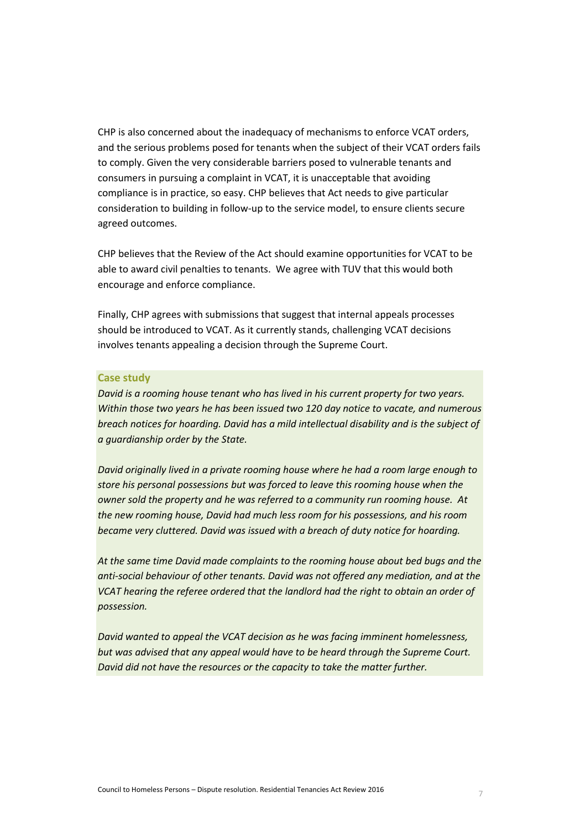CHP is also concerned about the inadequacy of mechanisms to enforce VCAT orders, and the serious problems posed for tenants when the subject of their VCAT orders fails to comply. Given the very considerable barriers posed to vulnerable tenants and consumers in pursuing a complaint in VCAT, it is unacceptable that avoiding compliance is in practice, so easy. CHP believes that Act needs to give particular consideration to building in follow-up to the service model, to ensure clients secure agreed outcomes.

CHP believes that the Review of the Act should examine opportunities for VCAT to be able to award civil penalties to tenants. We agree with TUV that this would both encourage and enforce compliance.

Finally, CHP agrees with submissions that suggest that internal appeals processes should be introduced to VCAT. As it currently stands, challenging VCAT decisions involves tenants appealing a decision through the Supreme Court.

#### **Case study**

*David is a rooming house tenant who has lived in his current property for two years. Within those two years he has been issued two 120 day notice to vacate, and numerous breach notices for hoarding. David has a mild intellectual disability and is the subject of a guardianship order by the State.* 

*David originally lived in a private rooming house where he had a room large enough to store his personal possessions but was forced to leave this rooming house when the owner sold the property and he was referred to a community run rooming house. At the new rooming house, David had much less room for his possessions, and his room became very cluttered. David was issued with a breach of duty notice for hoarding.* 

*At the same time David made complaints to the rooming house about bed bugs and the anti-social behaviour of other tenants. David was not offered any mediation, and at the VCAT hearing the referee ordered that the landlord had the right to obtain an order of possession.* 

<span id="page-6-0"></span>*David wanted to appeal the VCAT decision as he was facing imminent homelessness, but was advised that any appeal would have to be heard through the Supreme Court. David did not have the resources or the capacity to take the matter further.*